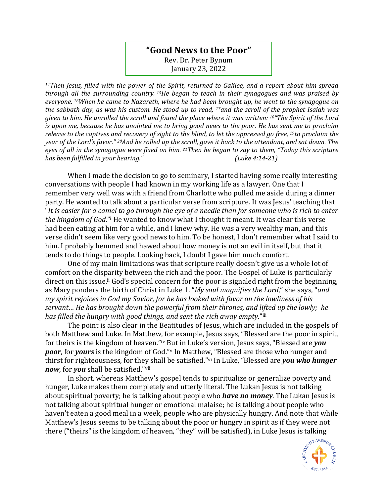## **"Good News to the Poor"** Rev. Dr. Peter Bynum January 23, 2022

*<sup>14</sup>Then Jesus, filled with the power of the Spirit, returned to Galilee, and a report about him spread through all the surrounding country. <sup>15</sup>He began to teach in their synagogues and was praised by everyone. <sup>16</sup>When he came to Nazareth, where he had been brought up, he went to the synagogue on the sabbath day, as was his custom. He stood up to read, <sup>17</sup>and the scroll of the prophet Isaiah was given to him. He unrolled the scroll and found the place where it was written: <sup>18</sup>"The Spirit of the Lord is upon me, because he has anointed me to bring good news to the poor. He has sent me to proclaim release to the captives and recovery of sight to the blind, to let the oppressed go free, <sup>19</sup>to proclaim the year of the Lord's favor." <sup>20</sup>And he rolled up the scroll, gave it back to the attendant, and sat down. The eyes of all in the synagogue were fixed on him. <sup>21</sup>Then he began to say to them, "Today this scripture has been fulfilled in your hearing." (Luke 4:14-21)*

When I made the decision to go to seminary, I started having some really interesting conversations with people I had known in my working life as a lawyer. One that I remember very well was with a friend from Charlotte who pulled me aside during a dinner party. He wanted to talk about a particular verse from scripture. It was Jesus' teaching that "*It is easier for a camel to go through the eye of a needle than for someone who is rich to enter the kingdom of God*."<sup>i</sup> He wanted to know what I thought it meant. It was clear this verse had been eating at him for a while, and I knew why. He was a very wealthy man, and this verse didn't seem like very good news to him. To be honest, I don't remember what I said to him. I probably hemmed and hawed about how money is not an evil in itself, but that it tends to do things to people. Looking back, I doubt I gave him much comfort.

One of my main limitations was that scripture really doesn't give us a whole lot of comfort on the disparity between the rich and the poor. The Gospel of Luke is particularly direct on this issue.<sup>ii</sup> God's special concern for the poor is signaled right from the beginning, as Mary ponders the birth of Christ in Luke 1. "*My soul magnifies the Lord*," she says, "*and my spirit rejoices in God my Savior, for he has looked with favor on the lowliness of his servant… He has brought down the powerful from their thrones, and lifted up the lowly; he has filled the hungry with good things, and sent the rich away empty*."iii

The point is also clear in the Beatitudes of Jesus, which are included in the gospels of both Matthew and Luke. In Matthew, for example, Jesus says, "Blessed are the poor in spirit, for theirs is the kingdom of heaven."iv But in Luke's version, Jesus says, "Blessed are *you poor*, for *yours* is the kingdom of God."<sup>v</sup> In Matthew, "Blessed are those who hunger and thirst for righteousness, for they shall be satisfied."vi In Luke, "Blessed are *you who hunger now*, for *you* shall be satisfied."vii

In short, whereas Matthew's gospel tends to spiritualize or generalize poverty and hunger, Luke makes them completely and utterly literal. The Lukan Jesus is not talking about spiritual poverty; he is talking about people who *have no money*. The Lukan Jesus is not talking about spiritual hunger or emotional malaise; he is talking about people who haven't eaten a good meal in a week, people who are physically hungry. And note that while Matthew's Jesus seems to be talking about the poor or hungry in spirit as if they were not there ("theirs" is the kingdom of heaven, "they" will be satisfied), in Luke Jesus is talking

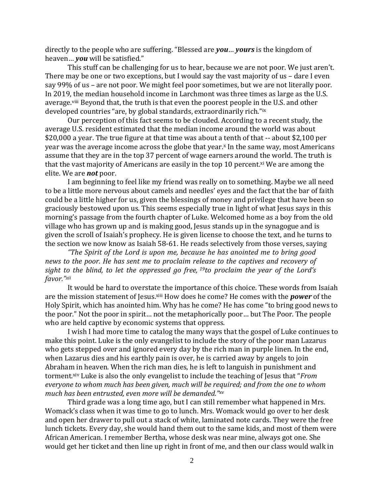directly to the people who are suffering. "Blessed are *you*… *yours* is the kingdom of heaven… *you* will be satisfied."

This stuff can be challenging for us to hear, because we are not poor. We just aren't. There may be one or two exceptions, but I would say the vast majority of us – dare I even say 99% of us – are not poor. We might feel poor sometimes, but we are not literally poor. In 2019, the median household income in Larchmont was three times as large as the U.S. average.<sup>viii</sup> Beyond that, the truth is that even the poorest people in the U.S. and other developed countries "are, by global standards, extraordinarily rich."ix

Our perception of this fact seems to be clouded. According to a recent study, the average U.S. resident estimated that the median income around the world was about \$20,000 a year. The true figure at that time was about a tenth of that -- about \$2,100 per year was the average income across the globe that year. x In the same way, most Americans assume that they are in the top 37 percent of wage earners around the world. The truth is that the vast majority of Americans are easily in the top 10 percent. $x_i$  We are among the elite. We are *not* poor.

I am beginning to feel like my friend was really on to something. Maybe we all need to be a little more nervous about camels and needles' eyes and the fact that the bar of faith could be a little higher for us, given the blessings of money and privilege that have been so graciously bestowed upon us. This seems especially true in light of what Jesus says in this morning's passage from the fourth chapter of Luke. Welcomed home as a boy from the old village who has grown up and is making good, Jesus stands up in the synagogue and is given the scroll of Isaiah's prophecy. He is given license to choose the text, and he turns to the section we now know as Isaiah 58-61. He reads selectively from those verses, saying

*"The Spirit of the Lord is upon me, because he has anointed me to bring good news to the poor. He has sent me to proclaim release to the captives and recovery of sight to the blind, to let the oppressed go free, <sup>19</sup>to proclaim the year of the Lord's favor."xii*

It would be hard to overstate the importance of this choice. These words from Isaiah are the mission statement of Jesus.xiii How does he come? He comes with the *power* of the Holy Spirit, which has anointed him. Why has he come? He has come "to bring good news to the poor." Not the poor in spirit… not the metaphorically poor… but The Poor. The people who are held captive by economic systems that oppress.

I wish I had more time to catalog the many ways that the gospel of Luke continues to make this point. Luke is the only evangelist to include the story of the poor man Lazarus who gets stepped over and ignored every day by the rich man in purple linen. In the end, when Lazarus dies and his earthly pain is over, he is carried away by angels to join Abraham in heaven. When the rich man dies, he is left to languish in punishment and torment.xiv Luke is also the only evangelist to include the teaching of Jesus that "*From everyone to whom much has been given, much will be required; and from the one to whom much has been entrusted, even more will be demanded."*xv

Third grade was a long time ago, but I can still remember what happened in Mrs. Womack's class when it was time to go to lunch. Mrs. Womack would go over to her desk and open her drawer to pull out a stack of white, laminated note cards. They were the free lunch tickets. Every day, she would hand them out to the same kids, and most of them were African American. I remember Bertha, whose desk was near mine, always got one. She would get her ticket and then line up right in front of me, and then our class would walk in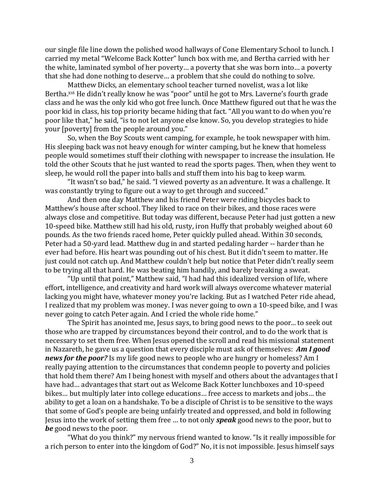our single file line down the polished wood hallways of Cone Elementary School to lunch. I carried my metal "Welcome Back Kotter" lunch box with me, and Bertha carried with her the white, laminated symbol of her poverty… a poverty that she was born into… a poverty that she had done nothing to deserve… a problem that she could do nothing to solve.

Matthew Dicks, an elementary school teacher turned novelist, was a lot like Bertha.<sup>xvi</sup> He didn't really know he was "poor" until he got to Mrs. Laverne's fourth grade class and he was the only kid who got free lunch. Once Matthew figured out that he was the poor kid in class, his top priority became hiding that fact. "All you want to do when you're poor like that," he said, "is to not let anyone else know. So, you develop strategies to hide your [poverty] from the people around you."

So, when the Boy Scouts went camping, for example, he took newspaper with him. His sleeping back was not heavy enough for winter camping, but he knew that homeless people would sometimes stuff their clothing with newspaper to increase the insulation. He told the other Scouts that he just wanted to read the sports pages. Then, when they went to sleep, he would roll the paper into balls and stuff them into his bag to keep warm.

"It wasn't so bad," he said. "I viewed poverty as an adventure. It was a challenge. It was constantly trying to figure out a way to get through and succeed."

And then one day Matthew and his friend Peter were riding bicycles back to Matthew's house after school. They liked to race on their bikes, and those races were always close and competitive. But today was different, because Peter had just gotten a new 10-speed bike. Matthew still had his old, rusty, iron Huffy that probably weighed about 60 pounds. As the two friends raced home, Peter quickly pulled ahead. Within 30 seconds, Peter had a 50-yard lead. Matthew dug in and started pedaling harder -- harder than he ever had before. His heart was pounding out of his chest. But it didn't seem to matter. He just could not catch up. And Matthew couldn't help but notice that Peter didn't really seem to be trying all that hard. He was beating him handily, and barely breaking a sweat.

"Up until that point," Matthew said, "I had had this idealized version of life, where effort, intelligence, and creativity and hard work will always overcome whatever material lacking you might have, whatever money you're lacking. But as I watched Peter ride ahead, I realized that my problem was money. I was never going to own a 10-speed bike, and I was never going to catch Peter again. And I cried the whole ride home."

The Spirit has anointed me, Jesus says, to bring good news to the poor... to seek out those who are trapped by circumstances beyond their control, and to do the work that is necessary to set them free. When Jesus opened the scroll and read his missional statement in Nazareth, he gave us a question that every disciple must ask of themselves: *Am I good news for the poor?* Is my life good news to people who are hungry or homeless? Am I really paying attention to the circumstances that condemn people to poverty and policies that hold them there? Am I being honest with myself and others about the advantages that I have had… advantages that start out as Welcome Back Kotter lunchboxes and 10-speed bikes… but multiply later into college educations… free access to markets and jobs… the ability to get a loan on a handshake. To be a disciple of Christ is to be sensitive to the ways that some of God's people are being unfairly treated and oppressed, and bold in following Jesus into the work of setting them free … to not only *speak* good news to the poor, but to *be* good news to the poor.

"What do you think?" my nervous friend wanted to know. "Is it really impossible for a rich person to enter into the kingdom of God?" No, it is not impossible. Jesus himself says